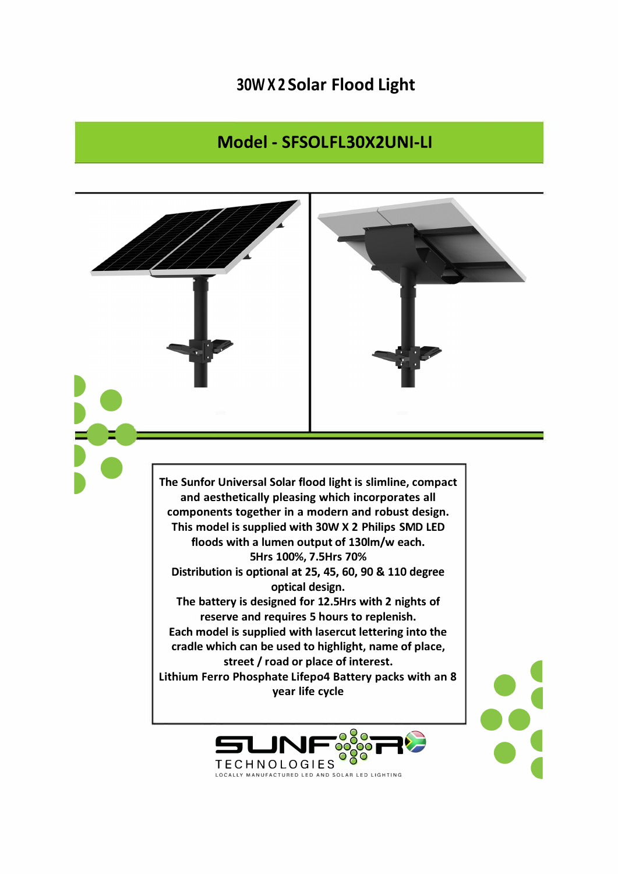## **30W X 2 Solar Flood Light**

## **Model - SFSOLFL30X2UNI-LI**